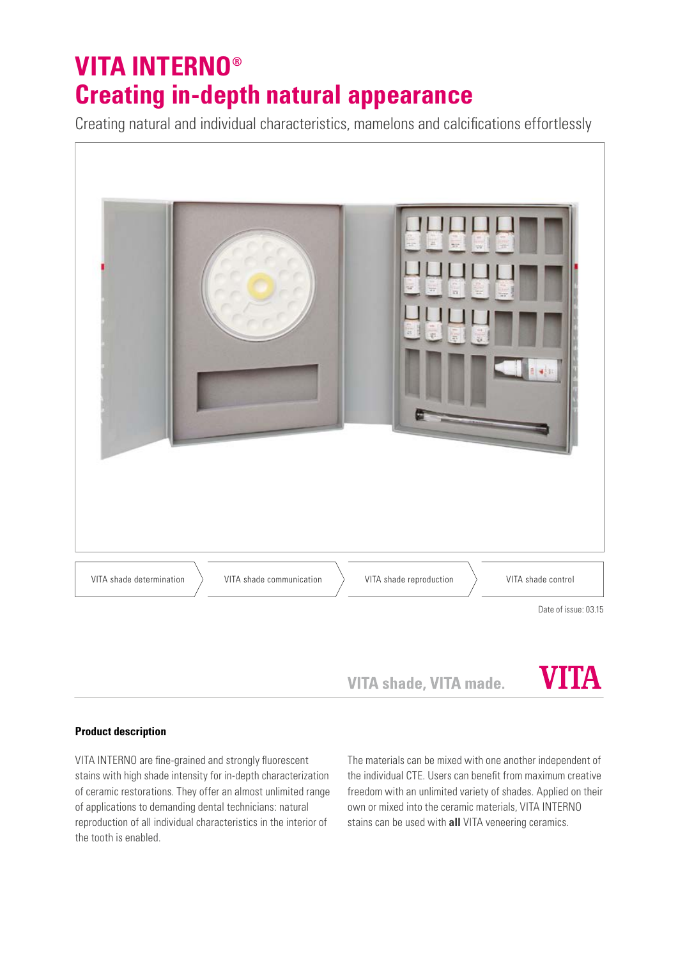# **VITA INTERNO® Creating in-depth natural appearance**

Creating natural and individual characteristics, mamelons and calcifications effortlessly



### **Product description**

VITA INTERNO are fine-grained and strongly fluorescent stains with high shade intensity for in-depth characterization of ceramic restorations. They offer an almost unlimited range of applications to demanding dental technicians: natural reproduction of all individual characteristics in the interior of the tooth is enabled.

The materials can be mixed with one another independent of the individual CTE. Users can benefit from maximum creative freedom with an unlimited variety of shades. Applied on their own or mixed into the ceramic materials, VITA INTERNO stains can be used with **all** VITA veneering ceramics.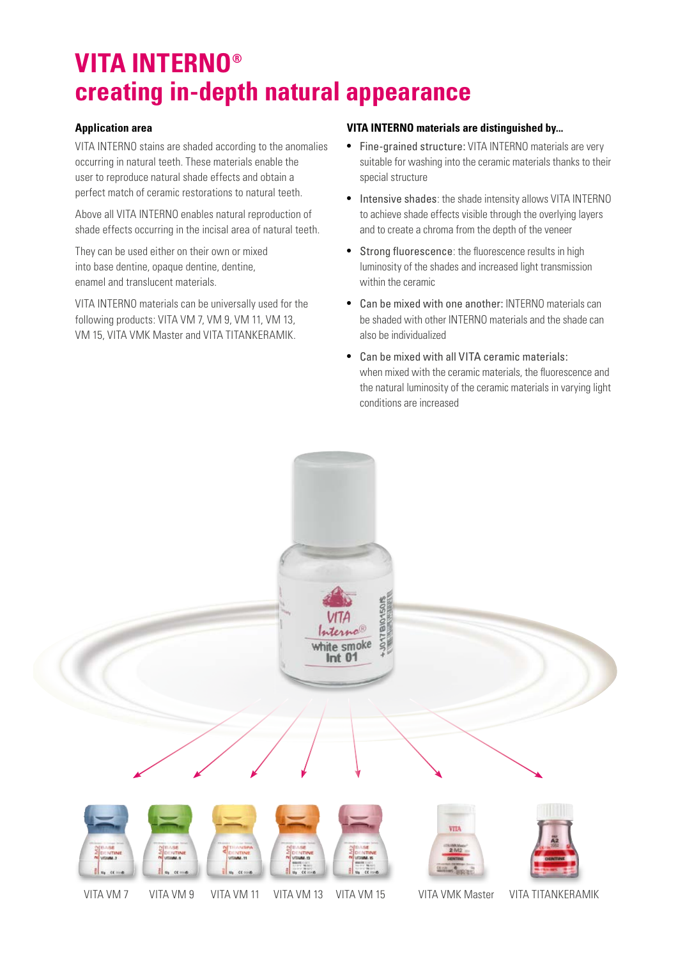# **VITA INTERNO® creating in-depth natural appearance**

### **Application area**

VITA INTERNO stains are shaded according to the anomalies occurring in natural teeth. These materials enable the user to reproduce natural shade effects and obtain a perfect match of ceramic restorations to natural teeth.

Above all VITA INTERNO enables natural reproduction of shade effects occurring in the incisal area of natural teeth.

They can be used either on their own or mixed into base dentine, opaque dentine, dentine, enamel and translucent materials.

VITA INTERNO materials can be universally used for the following products: VITA VM 7, VM 9, VM 11, VM 13, VM 15, VITA VMK Master and VITA TITANKERAMIK.

### **VITA INTERNO materials are distinguished by...**

- Fine-grained structure: VITA INTERNO materials are very suitable for washing into the ceramic materials thanks to their special structure
- Intensive shades: the shade intensity allows VITA INTERNO to achieve shade effects visible through the overlying layers and to create a chroma from the depth of the veneer
- Strong fluorescence: the fluorescence results in high luminosity of the shades and increased light transmission within the ceramic
- Can be mixed with one another: INTERNO materials can be shaded with other INTERNO materials and the shade can also be individualized
- Can be mixed with all VITA ceramic materials: when mixed with the ceramic materials, the fluorescence and the natural luminosity of the ceramic materials in varying light conditions are increased

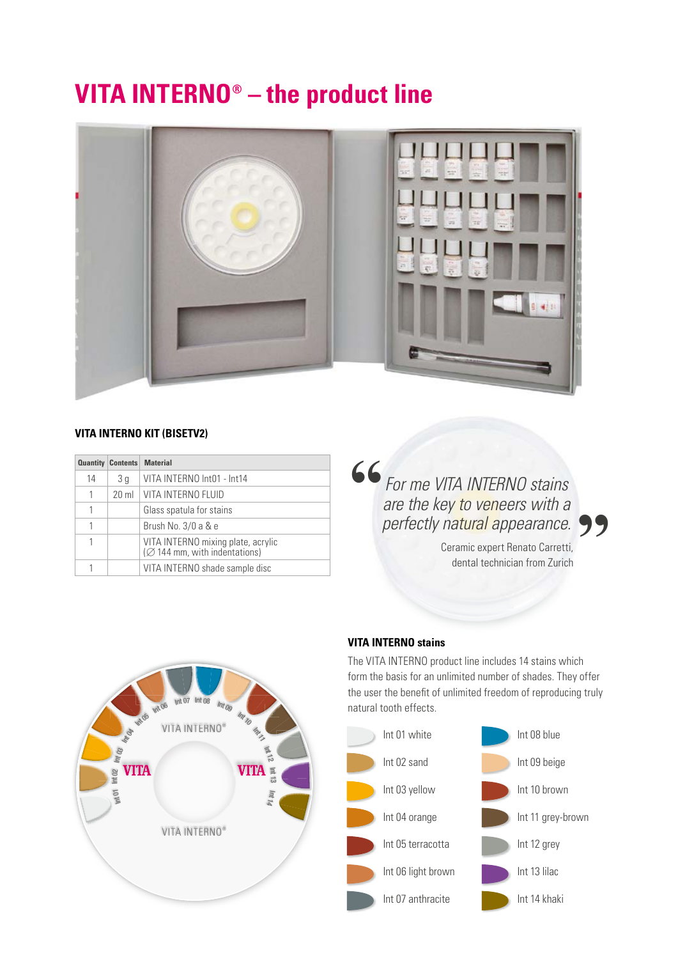# **VITA INTERNO® – the product line**



### **VITA INTERNO KIT (BISETV2)**

|    | <b>Quantity Contents</b> | <b>Material</b>                                                     |
|----|--------------------------|---------------------------------------------------------------------|
| 14 | 3 g                      | VITA INTERNO Int01 - Int14                                          |
|    | $20 \mathrm{ml}$         | VITA INTERNO FLUID                                                  |
| 1  |                          | Glass spatula for stains                                            |
|    |                          | Brush No. 3/0 a & e                                                 |
|    |                          | VITA INTERNO mixing plate, acrylic<br>(Ø 144 mm, with indentations) |
|    |                          | VITA INTERNO shade sample disc                                      |

## *For me VITA INTERNO stains perfectly natural appearance.***"** *are the key to veneers with a*  **"**

Ceramic expert Renato Carretti, dental technician from Zurich

## **VITA INTERNO stains**

The VITA INTERNO product line includes 14 stains which form the basis for an unlimited number of shades. They offer the user the benefit of unlimited freedom of reproducing truly natural tooth effects.